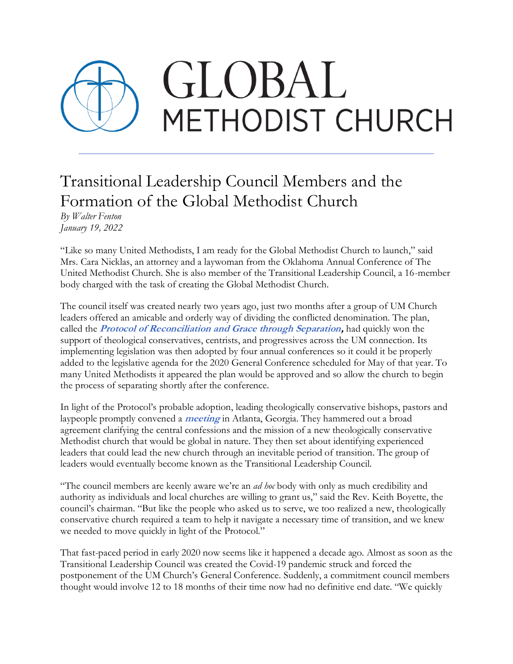## GLOBAL METHODIST CHURCH

## Transitional Leadership Council Members and the Formation of the Global Methodist Church

*By Walter Fenton January 19, 2022*

"Like so many United Methodists, I am ready for the Global Methodist Church to launch," said Mrs. Cara Nicklas, an attorney and a laywoman from the Oklahoma Annual Conference of The United Methodist Church. She is also member of the Transitional Leadership Council, a 16-member body charged with the task of creating the Global Methodist Church.

The council itself was created nearly two years ago, just two months after a group of UM Church leaders offered an amicable and orderly way of dividing the conflicted denomination. The plan, called the **[Protocol of Reconciliation and Grace through Separation,](https://www.gracethroughseparation.com/)** had quickly won the support of theological conservatives, centrists, and progressives across the UM connection. Its implementing legislation was then adopted by four annual conferences so it could it be properly added to the legislative agenda for the 2020 General Conference scheduled for May of that year. To many United Methodists it appeared the plan would be approved and so allow the church to begin the process of separating shortly after the conference.

In light of the Protocol's probable adoption, leading theologically conservative bishops, pastors and laypeople promptly convened a **[meeting](https://wesleyancovenant.org/2020/03/11/global-um-leaders-reimagine-a-new-methodist-movement/)** in Atlanta, Georgia. They hammered out a broad agreement clarifying the central confessions and the mission of a new theologically conservative Methodist church that would be global in nature. They then set about identifying experienced leaders that could lead the new church through an inevitable period of transition. The group of leaders would eventually become known as the Transitional Leadership Council.

"The council members are keenly aware we're an *ad hoc* body with only as much credibility and authority as individuals and local churches are willing to grant us," said the Rev. Keith Boyette, the council's chairman. "But like the people who asked us to serve, we too realized a new, theologically conservative church required a team to help it navigate a necessary time of transition, and we knew we needed to move quickly in light of the Protocol."

That fast-paced period in early 2020 now seems like it happened a decade ago. Almost as soon as the Transitional Leadership Council was created the Covid-19 pandemic struck and forced the postponement of the UM Church's General Conference. Suddenly, a commitment council members thought would involve 12 to 18 months of their time now had no definitive end date. "We quickly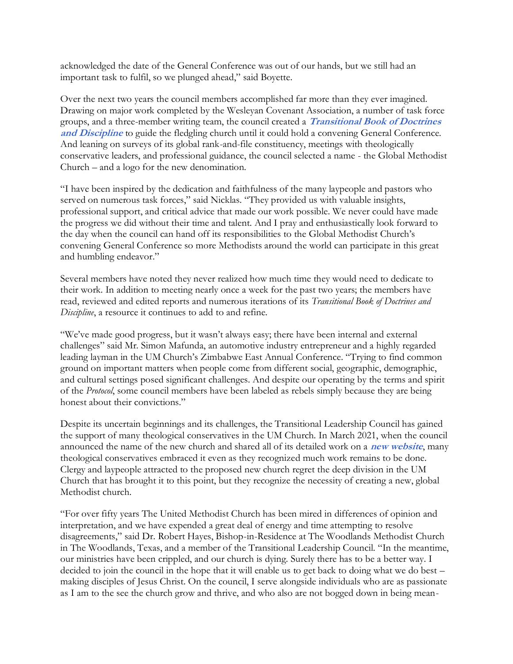acknowledged the date of the General Conference was out of our hands, but we still had an important task to fulfil, so we plunged ahead," said Boyette.

Over the next two years the council members accomplished far more than they ever imagined. Drawing on major work completed by the Wesleyan Covenant Association, a number of task force groups, and a three-member writing team, the council created a **[Transitional Book of Doctrines](https://globalmethodist.org/what-we-believe/)  [and Discipline](https://globalmethodist.org/what-we-believe/)** to guide the fledgling church until it could hold a convening General Conference. And leaning on surveys of its global rank-and-file constituency, meetings with theologically conservative leaders, and professional guidance, the council selected a name - the Global Methodist Church – and a logo for the new denomination.

"I have been inspired by the dedication and faithfulness of the many laypeople and pastors who served on numerous task forces," said Nicklas. "They provided us with valuable insights, professional support, and critical advice that made our work possible. We never could have made the progress we did without their time and talent. And I pray and enthusiastically look forward to the day when the council can hand off its responsibilities to the Global Methodist Church's convening General Conference so more Methodists around the world can participate in this great and humbling endeavor."

Several members have noted they never realized how much time they would need to dedicate to their work. In addition to meeting nearly once a week for the past two years; the members have read, reviewed and edited reports and numerous iterations of its *Transitional Book of Doctrines and Discipline*, a resource it continues to add to and refine.

"We've made good progress, but it wasn't always easy; there have been internal and external challenges" said Mr. Simon Mafunda, an automotive industry entrepreneur and a highly regarded leading layman in the UM Church's Zimbabwe East Annual Conference. "Trying to find common ground on important matters when people come from different social, geographic, demographic, and cultural settings posed significant challenges. And despite our operating by the terms and spirit of the *Protocol*, some council members have been labeled as rebels simply because they are being honest about their convictions."

Despite its uncertain beginnings and its challenges, the Transitional Leadership Council has gained the support of many theological conservatives in the UM Church. In March 2021, when the council announced the name of the new church and shared all of its detailed work on a **[new website](http://globalmethodist.org/)**, many theological conservatives embraced it even as they recognized much work remains to be done. Clergy and laypeople attracted to the proposed new church regret the deep division in the UM Church that has brought it to this point, but they recognize the necessity of creating a new, global Methodist church.

"For over fifty years The United Methodist Church has been mired in differences of opinion and interpretation, and we have expended a great deal of energy and time attempting to resolve disagreements," said Dr. Robert Hayes, Bishop-in-Residence at The Woodlands Methodist Church in The Woodlands, Texas, and a member of the Transitional Leadership Council. "In the meantime, our ministries have been crippled, and our church is dying. Surely there has to be a better way. I decided to join the council in the hope that it will enable us to get back to doing what we do best – making disciples of Jesus Christ. On the council, I serve alongside individuals who are as passionate as I am to the see the church grow and thrive, and who also are not bogged down in being mean